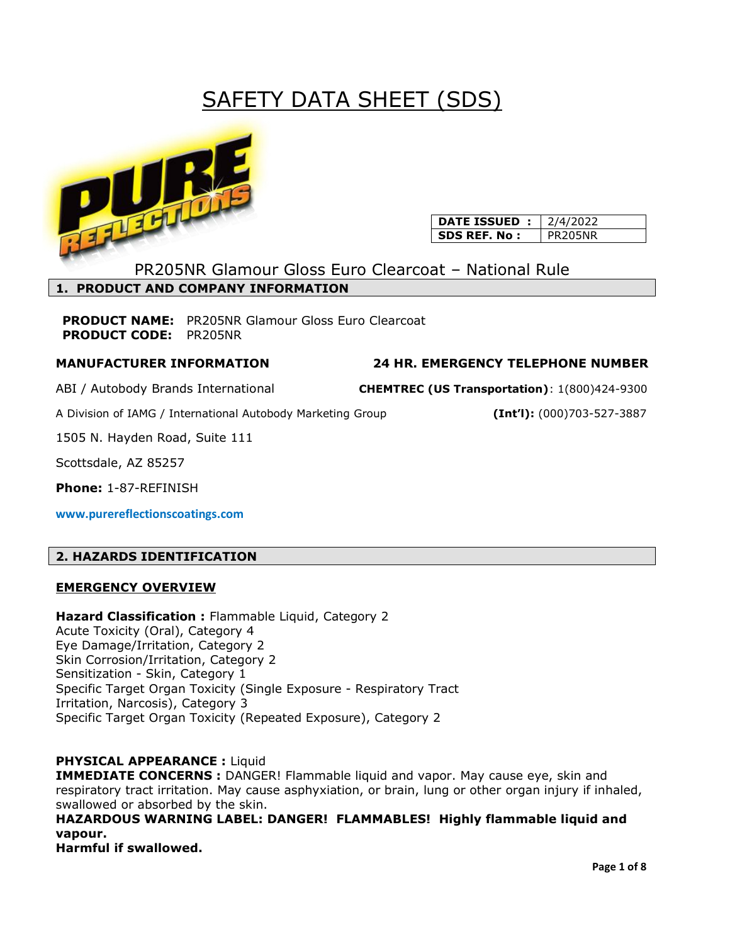# SAFETY DATA SHEET (SDS)



| <b>DATE ISSUED</b> : | 2/4/2022 |
|----------------------|----------|
| SDS REF. No :        | PR205NR  |

PR205NR Glamour Gloss Euro Clearcoat – National Rule

# **1. PRODUCT AND COMPANY INFORMATION**

**PRODUCT NAME:** PR205NR Glamour Gloss Euro Clearcoat **PRODUCT CODE:** PR205NR

# **MANUFACTURER INFORMATION 24 HR. EMERGENCY TELEPHONE NUMBER**

A Division of IAMG / International Autobody Marketing Group **(Int'l):** (000)703-527-3887

1505 N. Hayden Road, Suite 111

Scottsdale, AZ 85257

**Phone:** 1-87-REFINISH

**www.purereflectionscoatings.com**

# **2. HAZARDS IDENTIFICATION**

# **EMERGENCY OVERVIEW**

**Hazard Classification :** Flammable Liquid, Category 2 Acute Toxicity (Oral), Category 4 Eye Damage/Irritation, Category 2 Skin Corrosion/Irritation, Category 2 Sensitization - Skin, Category 1 Specific Target Organ Toxicity (Single Exposure - Respiratory Tract Irritation, Narcosis), Category 3 Specific Target Organ Toxicity (Repeated Exposure), Category 2

# **PHYSICAL APPEARANCE :** Liquid

**IMMEDIATE CONCERNS :** DANGER! Flammable liquid and vapor. May cause eye, skin and respiratory tract irritation. May cause asphyxiation, or brain, lung or other organ injury if inhaled, swallowed or absorbed by the skin.

**HAZARDOUS WARNING LABEL: DANGER! FLAMMABLES! Highly flammable liquid and vapour.**

**Harmful if swallowed.** 

ABI / Autobody Brands International **CHEMTREC (US Transportation)**: 1(800)424-9300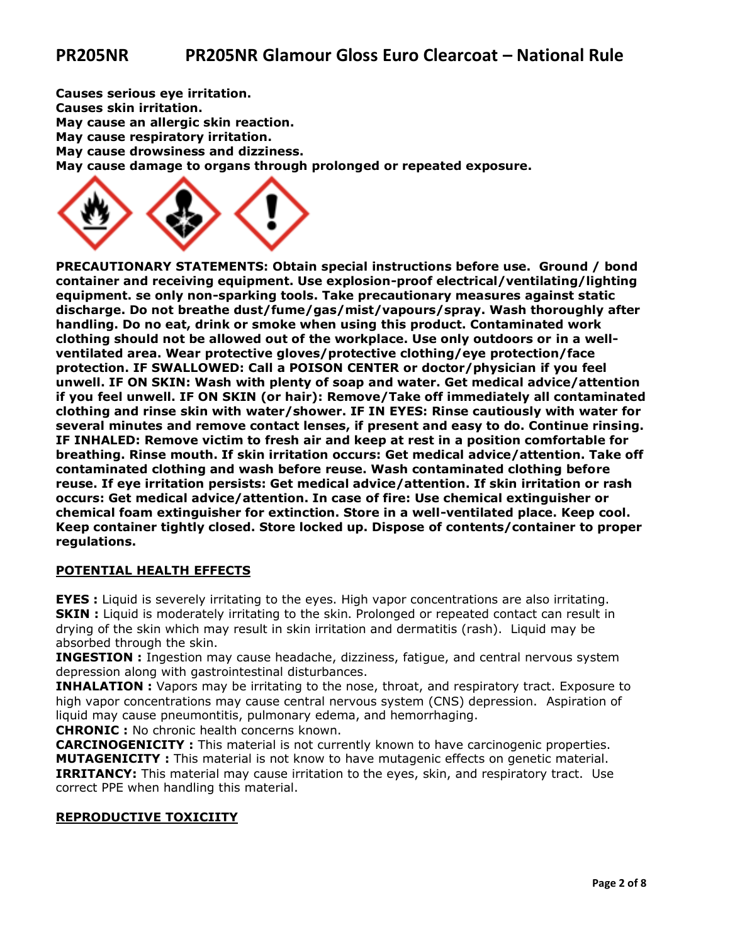**Causes serious eye irritation. Causes skin irritation. May cause an allergic skin reaction. May cause respiratory irritation. May cause drowsiness and dizziness. May cause damage to organs through prolonged or repeated exposure.**



**PRECAUTIONARY STATEMENTS: Obtain special instructions before use. Ground / bond container and receiving equipment. Use explosion-proof electrical/ventilating/lighting equipment. se only non-sparking tools. Take precautionary measures against static discharge. Do not breathe dust/fume/gas/mist/vapours/spray. Wash thoroughly after handling. Do no eat, drink or smoke when using this product. Contaminated work clothing should not be allowed out of the workplace. Use only outdoors or in a wellventilated area. Wear protective gloves/protective clothing/eye protection/face protection. IF SWALLOWED: Call a POISON CENTER or doctor/physician if you feel unwell. IF ON SKIN: Wash with plenty of soap and water. Get medical advice/attention if you feel unwell. IF ON SKIN (or hair): Remove/Take off immediately all contaminated clothing and rinse skin with water/shower. IF IN EYES: Rinse cautiously with water for several minutes and remove contact lenses, if present and easy to do. Continue rinsing. IF INHALED: Remove victim to fresh air and keep at rest in a position comfortable for breathing. Rinse mouth. If skin irritation occurs: Get medical advice/attention. Take off contaminated clothing and wash before reuse. Wash contaminated clothing before reuse. If eye irritation persists: Get medical advice/attention. If skin irritation or rash occurs: Get medical advice/attention. In case of fire: Use chemical extinguisher or chemical foam extinguisher for extinction. Store in a well-ventilated place. Keep cool. Keep container tightly closed. Store locked up. Dispose of contents/container to proper regulations.**

## **POTENTIAL HEALTH EFFECTS**

**EYES :** Liquid is severely irritating to the eyes. High vapor concentrations are also irritating. **SKIN :** Liquid is moderately irritating to the skin. Prolonged or repeated contact can result in drying of the skin which may result in skin irritation and dermatitis (rash). Liquid may be absorbed through the skin.

**INGESTION :** Ingestion may cause headache, dizziness, fatigue, and central nervous system depression along with gastrointestinal disturbances.

**INHALATION :** Vapors may be irritating to the nose, throat, and respiratory tract. Exposure to high vapor concentrations may cause central nervous system (CNS) depression. Aspiration of liquid may cause pneumontitis, pulmonary edema, and hemorrhaging.

**CHRONIC :** No chronic health concerns known.

**CARCINOGENICITY :** This material is not currently known to have carcinogenic properties. **MUTAGENICITY :** This material is not know to have mutagenic effects on genetic material. **IRRITANCY:** This material may cause irritation to the eyes, skin, and respiratory tract. Use correct PPE when handling this material.

#### **REPRODUCTIVE TOXICIITY**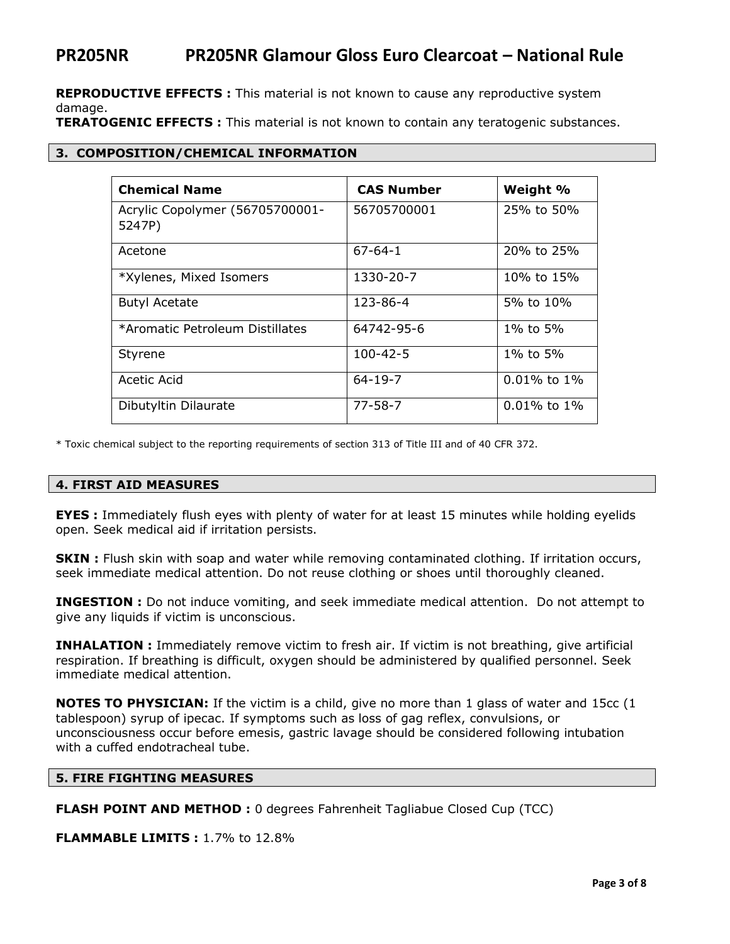**REPRODUCTIVE EFFECTS :** This material is not known to cause any reproductive system damage.

**TERATOGENIC EFFECTS :** This material is not known to contain any teratogenic substances.

#### **3. COMPOSITION/CHEMICAL INFORMATION**

| <b>Chemical Name</b>                      | <b>CAS Number</b> | Weight %          |
|-------------------------------------------|-------------------|-------------------|
| Acrylic Copolymer (56705700001-<br>5247P) | 56705700001       | 25% to 50%        |
| Acetone                                   | $67 - 64 - 1$     | 20% to 25%        |
| *Xylenes, Mixed Isomers                   | 1330-20-7         | 10% to 15%        |
| <b>Butyl Acetate</b>                      | 123-86-4          | 5% to 10%         |
| *Aromatic Petroleum Distillates           | 64742-95-6        | 1% to 5%          |
| <b>Styrene</b>                            | $100 - 42 - 5$    | 1% to 5%          |
| Acetic Acid                               | $64 - 19 - 7$     | $0.01\%$ to $1\%$ |
| Dibutyltin Dilaurate                      | $77 - 58 - 7$     | $0.01\%$ to $1\%$ |

\* Toxic chemical subject to the reporting requirements of section 313 of Title III and of 40 CFR 372.

#### **4. FIRST AID MEASURES**

**EYES :** Immediately flush eyes with plenty of water for at least 15 minutes while holding eyelids open. Seek medical aid if irritation persists.

**SKIN :** Flush skin with soap and water while removing contaminated clothing. If irritation occurs, seek immediate medical attention. Do not reuse clothing or shoes until thoroughly cleaned.

**INGESTION :** Do not induce vomiting, and seek immediate medical attention. Do not attempt to give any liquids if victim is unconscious.

**INHALATION :** Immediately remove victim to fresh air. If victim is not breathing, give artificial respiration. If breathing is difficult, oxygen should be administered by qualified personnel. Seek immediate medical attention.

**NOTES TO PHYSICIAN:** If the victim is a child, give no more than 1 glass of water and 15cc (1 tablespoon) syrup of ipecac. If symptoms such as loss of gag reflex, convulsions, or unconsciousness occur before emesis, gastric lavage should be considered following intubation with a cuffed endotracheal tube.

#### **5. FIRE FIGHTING MEASURES**

**FLASH POINT AND METHOD :** 0 degrees Fahrenheit Tagliabue Closed Cup (TCC)

**FLAMMABLE LIMITS :** 1.7% to 12.8%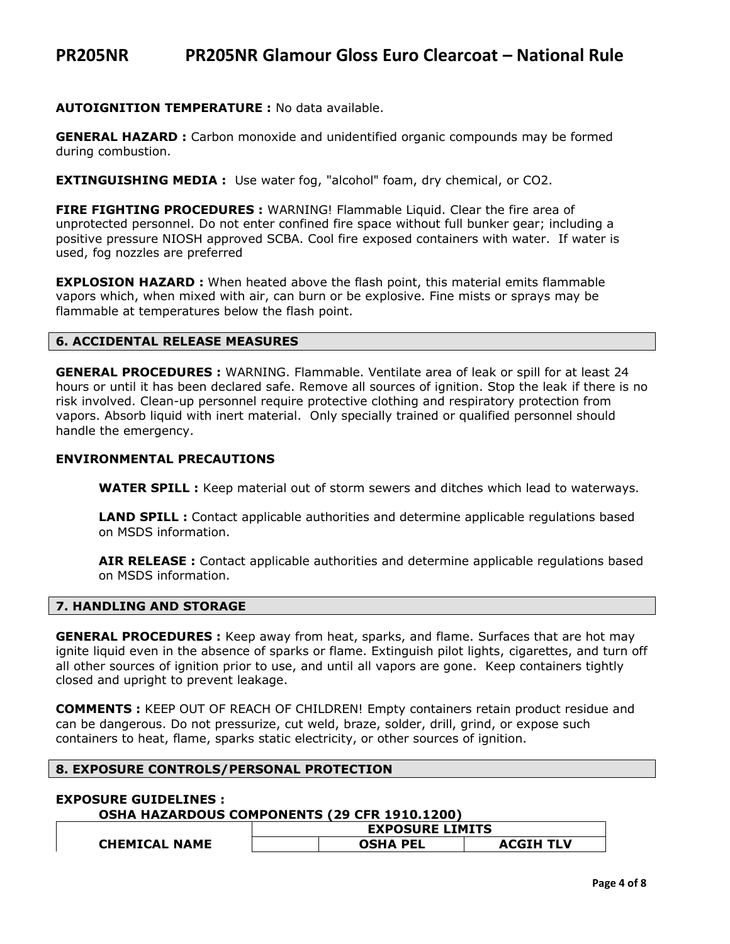#### **AUTOIGNITION TEMPERATURE :** No data available.

**GENERAL HAZARD :** Carbon monoxide and unidentified organic compounds may be formed during combustion.

**EXTINGUISHING MEDIA :** Use water fog, "alcohol" foam, dry chemical, or CO2.

**FIRE FIGHTING PROCEDURES :** WARNING! Flammable Liquid. Clear the fire area of unprotected personnel. Do not enter confined fire space without full bunker gear; including a positive pressure NIOSH approved SCBA. Cool fire exposed containers with water. If water is used, fog nozzles are preferred

**EXPLOSION HAZARD :** When heated above the flash point, this material emits flammable vapors which, when mixed with air, can burn or be explosive. Fine mists or sprays may be flammable at temperatures below the flash point.

### **6. ACCIDENTAL RELEASE MEASURES**

**GENERAL PROCEDURES :** WARNING. Flammable. Ventilate area of leak or spill for at least 24 hours or until it has been declared safe. Remove all sources of ignition. Stop the leak if there is no risk involved. Clean-up personnel require protective clothing and respiratory protection from vapors. Absorb liquid with inert material. Only specially trained or qualified personnel should handle the emergency.

#### **ENVIRONMENTAL PRECAUTIONS**

**WATER SPILL :** Keep material out of storm sewers and ditches which lead to waterways.

**LAND SPILL :** Contact applicable authorities and determine applicable regulations based on MSDS information.

**AIR RELEASE :** Contact applicable authorities and determine applicable regulations based on MSDS information.

### **7. HANDLING AND STORAGE**

**GENERAL PROCEDURES :** Keep away from heat, sparks, and flame. Surfaces that are hot may ignite liquid even in the absence of sparks or flame. Extinguish pilot lights, cigarettes, and turn off all other sources of ignition prior to use, and until all vapors are gone. Keep containers tightly closed and upright to prevent leakage.

**COMMENTS :** KEEP OUT OF REACH OF CHILDREN! Empty containers retain product residue and can be dangerous. Do not pressurize, cut weld, braze, solder, drill, grind, or expose such containers to heat, flame, sparks static electricity, or other sources of ignition.

#### **8. EXPOSURE CONTROLS/PERSONAL PROTECTION**

#### **EXPOSURE GUIDELINES :**

**OSHA HAZARDOUS COMPONENTS (29 CFR 1910.1200)**

|                      | <b>EXPOSURE LIMITS</b> |                 |                  |
|----------------------|------------------------|-----------------|------------------|
| <b>CHEMICAL NAME</b> |                        | <b>OSHA PEL</b> | <b>ACGIH TLV</b> |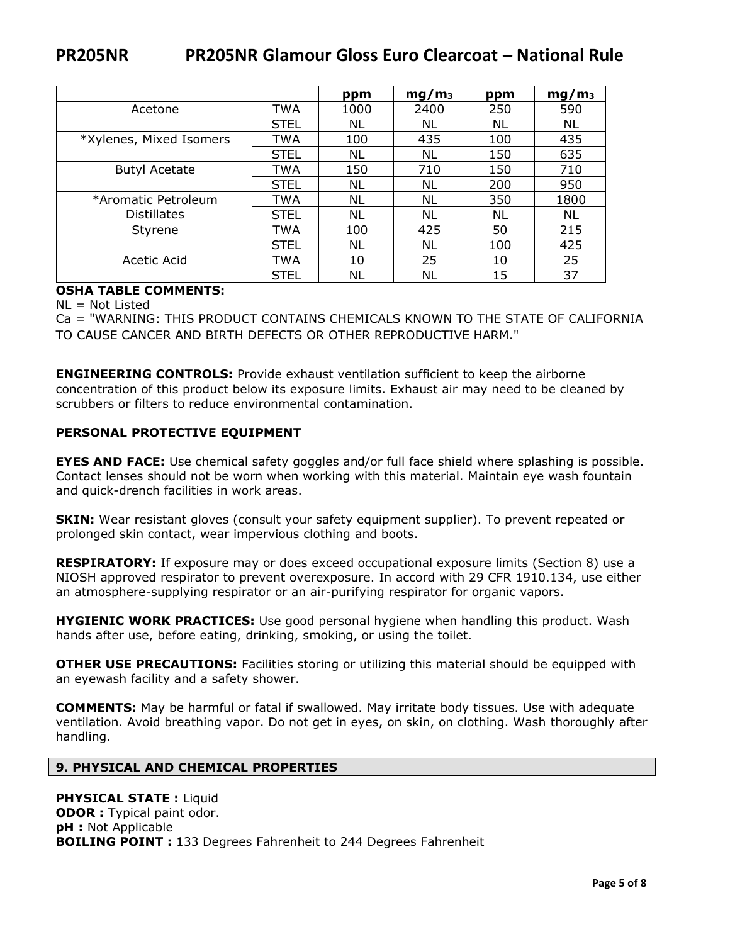|                         |             | ppm  | mg/m <sub>3</sub> | ppm | mq/m <sub>3</sub> |
|-------------------------|-------------|------|-------------------|-----|-------------------|
| Acetone                 | TWA         | 1000 | 2400              | 250 | 590               |
|                         | <b>STEL</b> | NL   | NL                | ΝL  | NL                |
| *Xylenes, Mixed Isomers | TWA         | 100  | 435               | 100 | 435               |
|                         | <b>STEL</b> | ΝL   | NL                | 150 | 635               |
| <b>Butyl Acetate</b>    | TWA         | 150  | 710               | 150 | 710               |
|                         | <b>STEL</b> | ΝL   | NL                | 200 | 950               |
| *Aromatic Petroleum     | TWA         | ΝL   | NL                | 350 | 1800              |
| <b>Distillates</b>      | <b>STEL</b> | ΝL   | ΝL                | ΝL  | NL                |
| Styrene                 | TWA         | 100  | 425               | 50  | 215               |
|                         | <b>STEL</b> | NL   | NL                | 100 | 425               |
| Acetic Acid             | <b>TWA</b>  | 10   | 25                | 10  | 25                |
|                         | <b>STEL</b> | ΝL   | NL                | 15  | 37                |

# **OSHA TABLE COMMENTS:**

 $NL = Not Listed$ 

Ca = "WARNING: THIS PRODUCT CONTAINS CHEMICALS KNOWN TO THE STATE OF CALIFORNIA TO CAUSE CANCER AND BIRTH DEFECTS OR OTHER REPRODUCTIVE HARM."

**ENGINEERING CONTROLS:** Provide exhaust ventilation sufficient to keep the airborne concentration of this product below its exposure limits. Exhaust air may need to be cleaned by scrubbers or filters to reduce environmental contamination.

## **PERSONAL PROTECTIVE EQUIPMENT**

**EYES AND FACE:** Use chemical safety goggles and/or full face shield where splashing is possible. Contact lenses should not be worn when working with this material. Maintain eye wash fountain and quick-drench facilities in work areas.

**SKIN:** Wear resistant gloves (consult your safety equipment supplier). To prevent repeated or prolonged skin contact, wear impervious clothing and boots.

**RESPIRATORY:** If exposure may or does exceed occupational exposure limits (Section 8) use a NIOSH approved respirator to prevent overexposure. In accord with 29 CFR 1910.134, use either an atmosphere-supplying respirator or an air-purifying respirator for organic vapors.

**HYGIENIC WORK PRACTICES:** Use good personal hygiene when handling this product. Wash hands after use, before eating, drinking, smoking, or using the toilet.

**OTHER USE PRECAUTIONS:** Facilities storing or utilizing this material should be equipped with an eyewash facility and a safety shower.

**COMMENTS:** May be harmful or fatal if swallowed. May irritate body tissues. Use with adequate ventilation. Avoid breathing vapor. Do not get in eyes, on skin, on clothing. Wash thoroughly after handling.

#### **9. PHYSICAL AND CHEMICAL PROPERTIES**

**PHYSICAL STATE :** Liquid **ODOR :** Typical paint odor. **pH :** Not Applicable **BOILING POINT :** 133 Degrees Fahrenheit to 244 Degrees Fahrenheit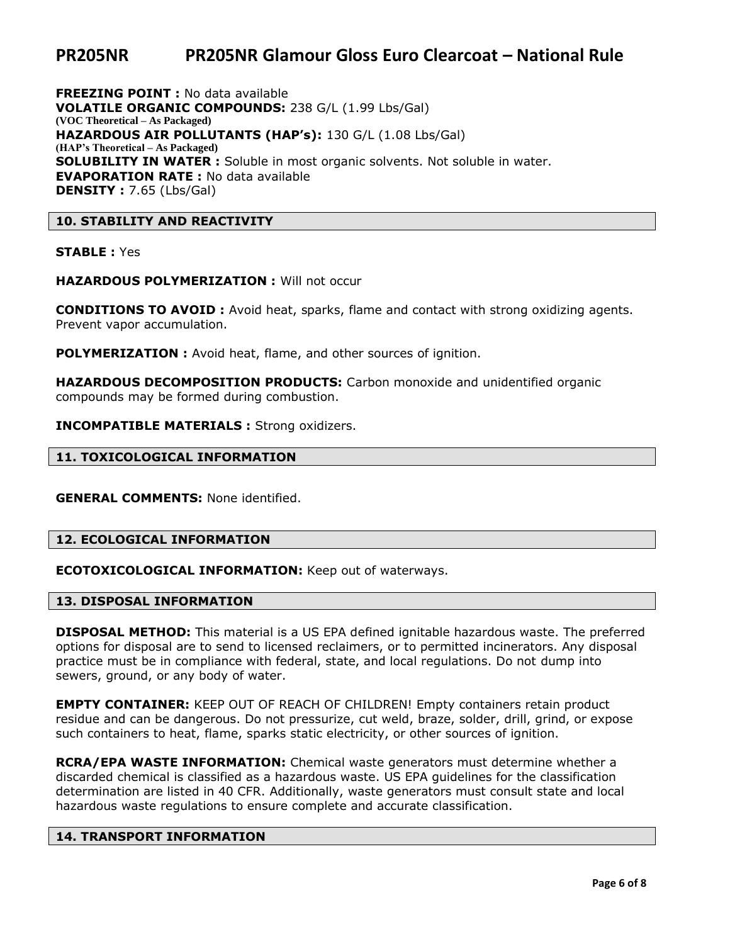**FREEZING POINT :** No data available **VOLATILE ORGANIC COMPOUNDS:** 238 G/L (1.99 Lbs/Gal) **(VOC Theoretical – As Packaged) HAZARDOUS AIR POLLUTANTS (HAP's):** 130 G/L (1.08 Lbs/Gal) **(HAP's Theoretical – As Packaged) SOLUBILITY IN WATER :** Soluble in most organic solvents. Not soluble in water. **EVAPORATION RATE :** No data available **DENSITY :** 7.65 (Lbs/Gal)

#### **10. STABILITY AND REACTIVITY**

**STABLE :** Yes

**HAZARDOUS POLYMERIZATION :** Will not occur

**CONDITIONS TO AVOID :** Avoid heat, sparks, flame and contact with strong oxidizing agents. Prevent vapor accumulation.

**POLYMERIZATION :** Avoid heat, flame, and other sources of ignition.

**HAZARDOUS DECOMPOSITION PRODUCTS:** Carbon monoxide and unidentified organic compounds may be formed during combustion.

**INCOMPATIBLE MATERIALS :** Strong oxidizers.

#### **11. TOXICOLOGICAL INFORMATION**

**GENERAL COMMENTS:** None identified.

#### **12. ECOLOGICAL INFORMATION**

**ECOTOXICOLOGICAL INFORMATION:** Keep out of waterways.

#### **13. DISPOSAL INFORMATION**

**DISPOSAL METHOD:** This material is a US EPA defined ignitable hazardous waste. The preferred options for disposal are to send to licensed reclaimers, or to permitted incinerators. Any disposal practice must be in compliance with federal, state, and local regulations. Do not dump into sewers, ground, or any body of water.

**EMPTY CONTAINER:** KEEP OUT OF REACH OF CHILDREN! Empty containers retain product residue and can be dangerous. Do not pressurize, cut weld, braze, solder, drill, grind, or expose such containers to heat, flame, sparks static electricity, or other sources of ignition.

**RCRA/EPA WASTE INFORMATION:** Chemical waste generators must determine whether a discarded chemical is classified as a hazardous waste. US EPA guidelines for the classification determination are listed in 40 CFR. Additionally, waste generators must consult state and local hazardous waste regulations to ensure complete and accurate classification.

#### **14. TRANSPORT INFORMATION**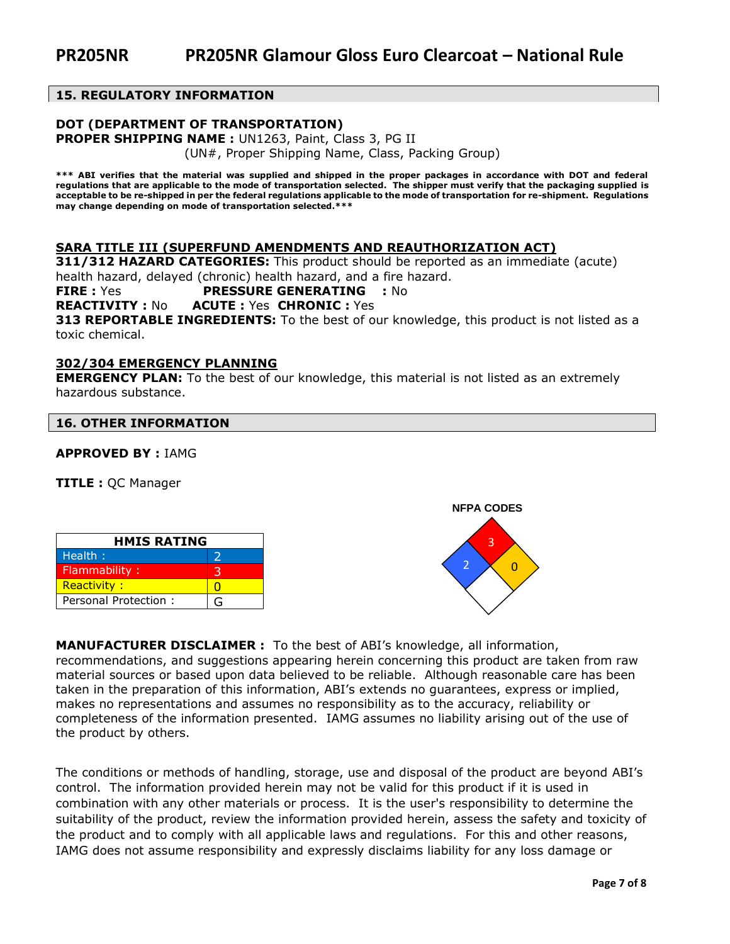### **15. REGULATORY INFORMATION**

#### **DOT (DEPARTMENT OF TRANSPORTATION)**

**PROPER SHIPPING NAME :** UN1263, Paint, Class 3, PG II (UN#, Proper Shipping Name, Class, Packing Group)

**\*\*\* ABI verifies that the material was supplied and shipped in the proper packages in accordance with DOT and federal regulations that are applicable to the mode of transportation selected. The shipper must verify that the packaging supplied is acceptable to be re-shipped in per the federal regulations applicable to the mode of transportation for re-shipment. Regulations may change depending on mode of transportation selected.\*\*\***

#### **SARA TITLE III (SUPERFUND AMENDMENTS AND REAUTHORIZATION ACT)**

**311/312 HAZARD CATEGORIES:** This product should be reported as an immediate (acute) health hazard, delayed (chronic) health hazard, and a fire hazard.

**FIRE :** Yes **PRESSURE GENERATING :** No

**REACTIVITY :** No **ACUTE :** Yes **CHRONIC :** Yes

**313 REPORTABLE INGREDIENTS:** To the best of our knowledge, this product is not listed as a toxic chemical.

#### **302/304 EMERGENCY PLANNING**

**EMERGENCY PLAN:** To the best of our knowledge, this material is not listed as an extremely hazardous substance.

#### **16. OTHER INFORMATION**

**APPROVED BY :** IAMG

**TITLE :** QC Manager

| <b>HMIS RATING</b>   |   |  |
|----------------------|---|--|
| Health:              |   |  |
| Flammability:        |   |  |
| <b>Reactivity:</b>   |   |  |
| Personal Protection: | G |  |



**MANUFACTURER DISCLAIMER :** To the best of ABI's knowledge, all information, recommendations, and suggestions appearing herein concerning this product are taken from raw material sources or based upon data believed to be reliable. Although reasonable care has been taken in the preparation of this information, ABI's extends no guarantees, express or implied, makes no representations and assumes no responsibility as to the accuracy, reliability or completeness of the information presented. IAMG assumes no liability arising out of the use of the product by others.

The conditions or methods of handling, storage, use and disposal of the product are beyond ABI's control. The information provided herein may not be valid for this product if it is used in combination with any other materials or process. It is the user's responsibility to determine the suitability of the product, review the information provided herein, assess the safety and toxicity of the product and to comply with all applicable laws and regulations. For this and other reasons, IAMG does not assume responsibility and expressly disclaims liability for any loss damage or